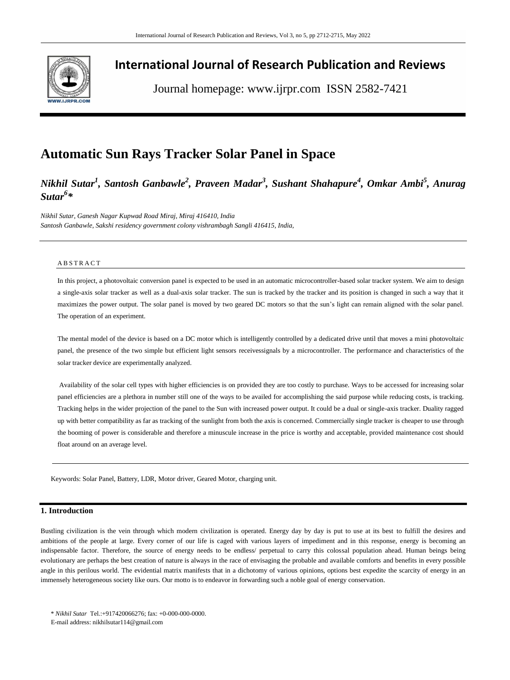

# **International Journal of Research Publication and Reviews**

Journal homepage: www.ijrpr.com ISSN 2582-7421

# **Automatic Sun Rays Tracker Solar Panel in Space**

*Nikhil Sutar<sup>1</sup> , Santosh Ganbawle<sup>2</sup> , Praveen Madar<sup>3</sup> , Sushant Shahapure<sup>4</sup> , Omkar Ambi<sup>5</sup> , Anurag Sutar<sup>6</sup> \**

*Nikhil Sutar, Ganesh Nagar Kupwad Road Miraj, Miraj 416410, India Santosh Ganbawle, Sakshi residency government colony vishrambagh Sangli 416415, India,* 

## A B S T R A C T

In this project, a photovoltaic conversion panel is expected to be used in an automatic microcontroller-based solar tracker system. We aim to design a single-axis solar tracker as well as a dual-axis solar tracker. The sun is tracked by the tracker and its position is changed in such a way that it maximizes the power output. The solar panel is moved by two geared DC motors so that the sun's light can remain aligned with the solar panel. The operation of an experiment.

The mental model of the device is based on a DC motor which is intelligently controlled by a dedicated drive until that moves a mini photovoltaic panel, the presence of the two simple but efficient light sensors receivessignals by a microcontroller. The performance and characteristics of the solar tracker device are experimentally analyzed.

Availability of the solar cell types with higher efficiencies is on provided they are too costly to purchase. Ways to be accessed for increasing solar panel efficiencies are a plethora in number still one of the ways to be availed for accomplishing the said purpose while reducing costs, is tracking. Tracking helps in the wider projection of the panel to the Sun with increased power output. It could be a dual or single-axis tracker. Duality ragged up with better compatibility as far as tracking of the sunlight from both the axis is concerned. Commercially single tracker is cheaper to use through the booming of power is considerable and therefore a minuscule increase in the price is worthy and acceptable, provided maintenance cost should float around on an average level.

Keywords: Solar Panel, Battery, LDR, Motor driver, Geared Motor, charging unit.

# **1. Introduction**

Bustling civilization is the vein through which modern civilization is operated. Energy day by day is put to use at its best to fulfill the desires and ambitions of the people at large. Every corner of our life is caged with various layers of impediment and in this response, energy is becoming an indispensable factor. Therefore, the source of energy needs to be endless/ perpetual to carry this colossal population ahead. Human beings being evolutionary are perhaps the best creation of nature is always in the race of envisaging the probable and available comforts and benefits in every possible angle in this perilous world. The evidential matrix manifests that in a dichotomy of various opinions, options best expedite the scarcity of energy in an immensely heterogeneous society like ours. Our motto is to endeavor in forwarding such a noble goal of energy conservation.

<sup>\*</sup> *Nikhil Sutar* Tel.:+917420066276; fax: +0-000-000-0000.

E-mail address: nikhilsutar114@gmail.com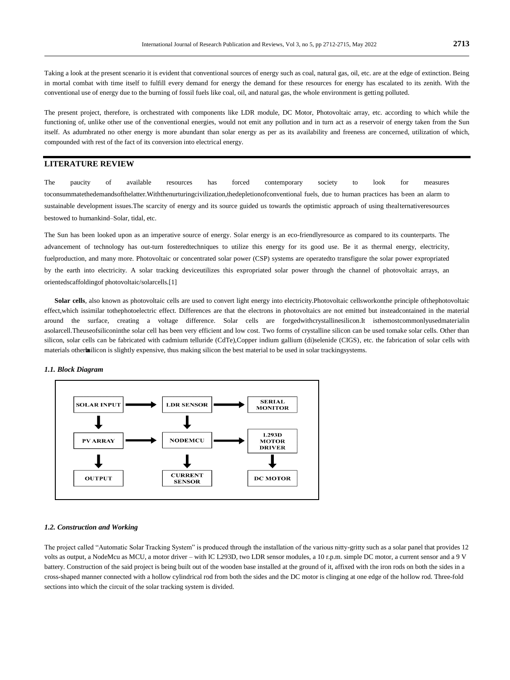Taking a look at the present scenario it is evident that conventional sources of energy such as coal, natural gas, oil, etc. are at the edge of extinction. Being in mortal combat with time itself to fulfill every demand for energy the demand for these resources for energy has escalated to its zenith. With the conventional use of energy due to the burning of fossil fuels like coal, oil, and natural gas, the whole environment is getting polluted.

The present project, therefore, is orchestrated with components like LDR module, DC Motor, Photovoltaic array, etc. according to which while the functioning of, unlike other use of the conventional energies, would not emit any pollution and in turn act as a reservoir of energy taken from the Sun itself. As adumbrated no other energy is more abundant than solar energy as per as its availability and freeness are concerned, utilization of which, compounded with rest of the fact of its conversion into electrical energy.

## **LITERATURE REVIEW**

The paucity of available resources has forced contemporary society to look for measures toconsummatethedemandsofthelatter.Withthenurturingcivilization,thedepletionofconventional fuels, due to human practices has been an alarm to sustainable development issues.The scarcity of energy and its source guided us towards the optimistic approach of using thealternativeresources bestowed to humankind–Solar, tidal, etc.

The Sun has been looked upon as an imperative source of energy. Solar energy is an eco-friendlyresource as compared to its counterparts. The advancement of technology has out-turn fosteredtechniques to utilize this energy for its good use. Be it as thermal energy, electricity, fuelproduction, and many more. Photovoltaic or concentrated solar power (CSP) systems are operatedto transfigure the solar power expropriated by the earth into electricity. A solar tracking deviceutilizes this expropriated solar power through the channel of photovoltaic arrays, an orientedscaffoldingof photovoltaic/solarcells.[1]

**Solar cells**, also known as photovoltaic cells are used to convert light energy into electricity.Photovoltaic cellsworkonthe principle ofthephotovoltaic effect,which issimilar tothephotoelectric effect. Differences are that the electrons in photovoltaics are not emitted but insteadcontained in the material around the surface, creating a voltage difference. Solar cells are forgedwithcrystallinesilicon.It isthemostcommonlyusedmaterialin asolarcell.Theuseofsiliconinthe solar cell has been very efficient and low cost. Two forms of crystalline silicon can be used tomake solar cells. Other than silicon, solar cells can be fabricated with cadmium telluride (CdTe),Copper indium gallium (di)selenide (CIGS), etc. the fabrication of solar cells with materials other alicon is slightly expensive, thus making silicon the best material to be used in solar trackingsystems.

# *1.1. Block Diagram*



#### *1.2. Construction and Working*

The project called "Automatic Solar Tracking System" is produced through the installation of the various nitty-gritty such as a solar panel that provides 12 volts as output, a NodeMcu as MCU, a motor driver – with IC L293D, two LDR sensor modules, a 10 r.p.m. simple DC motor, a current sensor and a 9 V battery. Construction of the said project is being built out of the wooden base installed at the ground of it, affixed with the iron rods on both the sides in a cross-shaped manner connected with a hollow cylindrical rod from both the sides and the DC motor is clinging at one edge of the hollow rod. Three-fold sections into which the circuit of the solar tracking system is divided.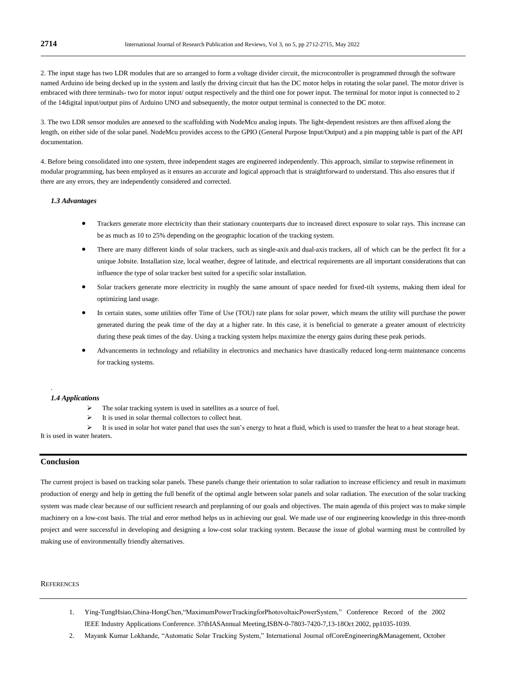2. The input stage has two LDR modules that are so arranged to form a voltage divider circuit, the microcontroller is programmed through the software named Arduino ide being decked up in the system and lastly the driving circuit that has the DC motor helps in rotating the solar panel. The motor driver is embraced with three terminals- two for motor input/ output respectively and the third one for power input. The terminal for motor input is connected to 2 of the 14digital input/output pins of Arduino UNO and subsequently, the motor output terminal is connected to the DC motor.

3. The two LDR sensor modules are annexed to the scaffolding with NodeMcu analog inputs. The light-dependent resistors are then affixed along the length, on either side of the solar panel. NodeMcu provides access to the GPIO (General Purpose Input/Output) and a pin mapping table is part of the API documentation.

4. Before being consolidated into one system, three independent stages are engineered independently. This approach, similar to stepwise refinement in modular programming, has been employed as it ensures an accurate and logical approach that is straightforward to understand. This also ensures that if there are any errors, they are independently considered and corrected.

### *1.3 Advantages*

- Trackers generate more electricity than their stationary counterparts due to increased direct exposure to solar rays. This increase can be as much as 10 to 25% depending on the geographic location of the [tracking system.](http://solarflexrack.com/wp-content/uploads/2014/06/SFR-TDP-Tracker-Flier-Rev-1.pdf)
- There are many different kinds of solar trackers, such as [single-axis](http://solarflexrack.com/products/tracker/) and [dual-axis](https://www.solarpowerworldonline.com/2017/09/dual-axis-solar-tracker/) trackers, all of which can be the perfect fit for a unique Jobsite. Installation size, local weather, degree of latitude, and electrical requirements are all important considerations that can influence the type of solar tracker best suited for a specific solar installation.
- Solar trackers generate more electricity in roughly the same amount of space needed for fixed-tilt systems, making them ideal for optimizing land usage.
- In certain states, some utilities offer Time of Use (TOU) rate plans for solar power, which means the utility will purchase the power generated during the peak time of the day at a higher rate. In this case, it is beneficial to generate a greater amount of electricity during these peak times of the day. Using a tracking system helps maximize the energy gains during these peak periods.
- Advancements in technology and reliability in electronics and mechanics have drastically reduced long-term maintenance concerns for tracking systems.

#### *1.4 Applications*

- The solar tracking system is used in satellites as a source of fuel.
- $\triangleright$  It is used in solar thermal collectors to collect heat.

 $\triangleright$  It is used in solar hot water panel that uses the sun's energy to heat a fluid, which is used to transfer the heat to a heat storage heat. It is used in water heaters.

### **Conclusion**

.

The current project is based on tracking solar panels. These panels change their orientation to solar radiation to increase efficiency and result in maximum production of energy and help in getting the full benefit of the optimal angle between solar panels and solar radiation. The execution of the solar tracking system was made clear because of our sufficient research and preplanning of our goals and objectives. The main agenda of this project was to make simple machinery on a low-cost basis. The trial and error method helps us in achieving our goal. We made use of our engineering knowledge in this three-month project and were successful in developing and designing a low-cost solar tracking system. Because the issue of global warming must be controlled by making use of environmentally friendly alternatives.

## **REFERENCES**

- 1. Ying-TungHsiao,China-HongChen,"MaximumPowerTrackingforPhotovoltaicPowerSystem," [Conference Record of the 2002](https://ieeexplore.ieee.org/xpl/mostRecentIssue.jsp?punumber=8075)  [IEEE Industry Applications Conference. 37thIASAnnual Meeting,I](https://ieeexplore.ieee.org/xpl/mostRecentIssue.jsp?punumber=8075)SBN-0-7803-7420-7,13-18Oct 2002, pp1035-1039.
- 2. Mayank Kumar Lokhande, "Automatic Solar Tracking System," International Journal ofCoreEngineering&Management, October